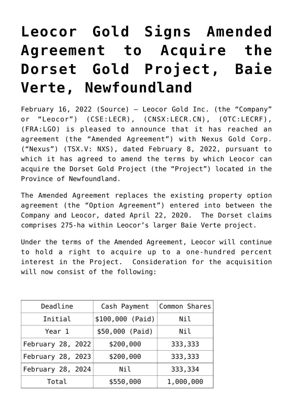## **[Leocor Gold Signs Amended](https://investorintel.com/markets/gold-silver-base-metals/gold-precious-metals-news/leocor-gold-signs-amended-agreement-to-acquire-the-dorset-gold-project-baie-verte-newfoundland/) [Agreement to Acquire the](https://investorintel.com/markets/gold-silver-base-metals/gold-precious-metals-news/leocor-gold-signs-amended-agreement-to-acquire-the-dorset-gold-project-baie-verte-newfoundland/) [Dorset Gold Project, Baie](https://investorintel.com/markets/gold-silver-base-metals/gold-precious-metals-news/leocor-gold-signs-amended-agreement-to-acquire-the-dorset-gold-project-baie-verte-newfoundland/) [Verte, Newfoundland](https://investorintel.com/markets/gold-silver-base-metals/gold-precious-metals-news/leocor-gold-signs-amended-agreement-to-acquire-the-dorset-gold-project-baie-verte-newfoundland/)**

February 16, 2022 ([Source\)](https://www.thenewswire.com/press-releases/1LpMFwYOR-leocor-gold-signs-amended-agreement-to-acquire-the-dorset-gold-project-baie-verte-newfoundland.html) — Leocor Gold Inc. (the "Company" or "Leocor") (CSE:LECR), (CNSX:LECR.CN), (OTC:LECRF), (FRA:LGO) is pleased to announce that it has reached an agreement (the "Amended Agreement") with Nexus Gold Corp. ("Nexus") (TSX.V: NXS), dated February 8, 2022, pursuant to which it has agreed to amend the terms by which Leocor can acquire the Dorset Gold Project (the "Project") located in the Province of Newfoundland.

The Amended Agreement replaces the existing property option agreement (the "Option Agreement") entered into between the Company and Leocor, dated April 22, 2020. The Dorset claims comprises 275-ha within Leocor's larger Baie Verte project.

Under the terms of the Amended Agreement, Leocor will continue to hold a right to acquire up to a one-hundred percent interest in the Project. Consideration for the acquisition will now consist of the following:

| Deadline          | Cash Payment     | Common Shares |
|-------------------|------------------|---------------|
| Initial           | \$100,000 (Paid) | Nil           |
| Year 1            | \$50,000 (Paid)  | Nil           |
| February 28, 2022 | \$200,000        | 333,333       |
| February 28, 2023 | \$200,000        | 333,333       |
| February 28, 2024 | Nil              | 333,334       |
| Total             | \$550,000        | 1,000,000     |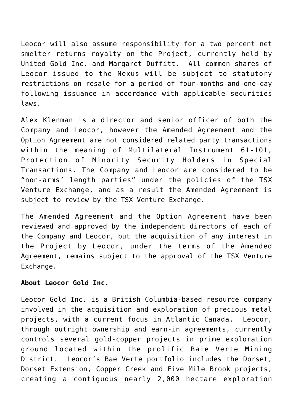Leocor will also assume responsibility for a two percent net smelter returns royalty on the Project, currently held by United Gold Inc. and Margaret Duffitt. All common shares of Leocor issued to the Nexus will be subject to statutory restrictions on resale for a period of four-months-and-one-day following issuance in accordance with applicable securities laws.

Alex Klenman is a director and senior officer of both the Company and Leocor, however the Amended Agreement and the Option Agreement are not considered related party transactions within the meaning of Multilateral Instrument 61-101, Protection of Minority Security Holders in Special Transactions. The Company and Leocor are considered to be "non-arms' length parties" under the policies of the TSX Venture Exchange, and as a result the Amended Agreement is subject to review by the TSX Venture Exchange.

The Amended Agreement and the Option Agreement have been reviewed and approved by the independent directors of each of the Company and Leocor, but the acquisition of any interest in the Project by Leocor, under the terms of the Amended Agreement, remains subject to the approval of the TSX Venture Exchange.

## **About Leocor Gold Inc.**

Leocor Gold Inc. is a British Columbia-based resource company involved in the acquisition and exploration of precious metal projects, with a current focus in Atlantic Canada. Leocor, through outright ownership and earn-in agreements, currently controls several gold-copper projects in prime exploration ground located within the prolific Baie Verte Mining District. Leocor's Bae Verte portfolio includes the Dorset, Dorset Extension, Copper Creek and Five Mile Brook projects, creating a contiguous nearly 2,000 hectare exploration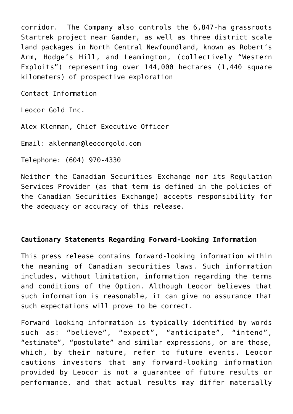corridor. The Company also controls the 6,847-ha grassroots Startrek project near Gander, as well as three district scale land packages in North Central Newfoundland, known as Robert's Arm, Hodge's Hill, and Leamington, (collectively "Western Exploits") representing over 144,000 hectares (1,440 square kilometers) of prospective exploration

Contact Information

Leocor Gold Inc.

Alex Klenman, Chief Executive Officer

Email: aklenman@leocorgold.com

Telephone: (604) 970-4330

Neither the Canadian Securities Exchange nor its Regulation Services Provider (as that term is defined in the policies of the Canadian Securities Exchange) accepts responsibility for the adequacy or accuracy of this release.

## **Cautionary Statements Regarding Forward-Looking Information**

This press release contains forward-looking information within the meaning of Canadian securities laws. Such information includes, without limitation, information regarding the terms and conditions of the Option. Although Leocor believes that such information is reasonable, it can give no assurance that such expectations will prove to be correct.

Forward looking information is typically identified by words such as: "believe", "expect", "anticipate", "intend", "estimate", "postulate" and similar expressions, or are those, which, by their nature, refer to future events. Leocor cautions investors that any forward-looking information provided by Leocor is not a guarantee of future results or performance, and that actual results may differ materially